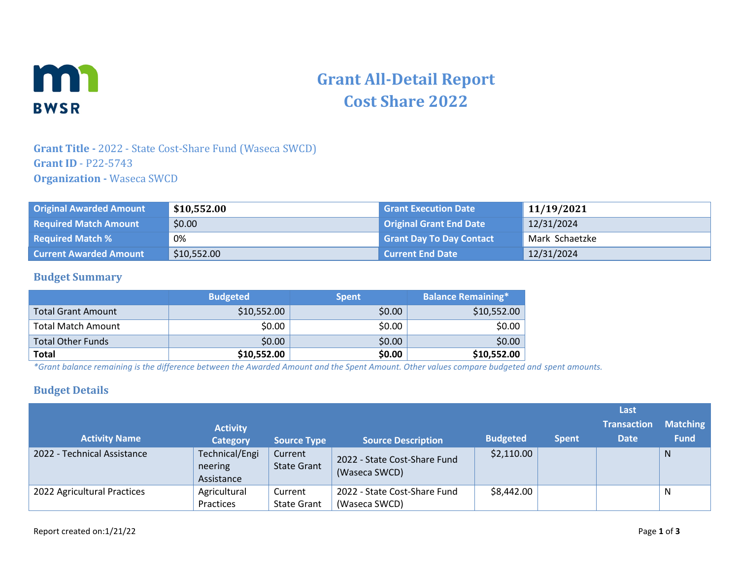

# **Grant All-Detail Report Cost Share 2022**

### **Grant Title -** 2022 - State Cost-Share Fund (Waseca SWCD) **Grant ID** - P22-5743 **Organization -** Waseca SWCD

| <b>Original Awarded Amount</b> | \$10,552.00 | <b>Grant Execution Date</b>     | 11/19/2021     |
|--------------------------------|-------------|---------------------------------|----------------|
| <b>Required Match Amount</b>   | \$0.00      | <b>Original Grant End Date</b>  | 12/31/2024     |
| <b>Required Match %</b>        | 0%          | <b>Grant Day To Day Contact</b> | Mark Schaetzke |
| <b>Current Awarded Amount</b>  | \$10,552.00 | <b>Current End Date</b>         | 12/31/2024     |

### **Budget Summary**

|                           | <b>Budgeted</b> | <b>Spent</b> | <b>Balance Remaining*</b> |
|---------------------------|-----------------|--------------|---------------------------|
| <b>Total Grant Amount</b> | \$10,552.00     | \$0.00       | \$10,552.00               |
| Total Match Amount        | \$0.00          | \$0.00       | \$0.00                    |
| <b>Total Other Funds</b>  | \$0.00          | \$0.00       | \$0.00                    |
| <b>Total</b>              | \$10,552.00     | \$0.00       | \$10,552.00               |

*\*Grant balance remaining is the difference between the Awarded Amount and the Spent Amount. Other values compare budgeted and spent amounts.*

### **Budget Details**

|                             |                                         |                               |                                               |                 |              | Last                              |                                |
|-----------------------------|-----------------------------------------|-------------------------------|-----------------------------------------------|-----------------|--------------|-----------------------------------|--------------------------------|
| <b>Activity Name</b>        | <b>Activity</b><br><b>Category</b>      | <b>Source Type</b>            | <b>Source Description</b>                     | <b>Budgeted</b> | <b>Spent</b> | <b>Transaction</b><br><b>Date</b> | <b>Matching</b><br><b>Fund</b> |
| 2022 - Technical Assistance | Technical/Engi<br>neering<br>Assistance | Current<br><b>State Grant</b> | 2022 - State Cost-Share Fund<br>(Waseca SWCD) | \$2,110.00      |              |                                   | N                              |
| 2022 Agricultural Practices | Agricultural<br>Practices               | Current<br><b>State Grant</b> | 2022 - State Cost-Share Fund<br>(Waseca SWCD) | \$8,442.00      |              |                                   | N                              |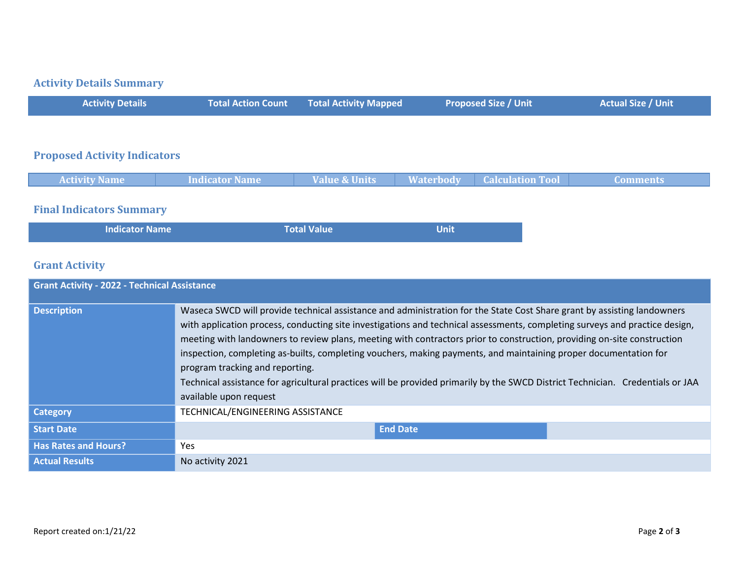# **Activity Details Summary**

| <b>Activity Details</b>               | <b>Total Action Count</b> | <b>Total Activity Mapped</b> | <b>Proposed Size / Unit</b>                 | <b>Actual Size / Unit</b> |
|---------------------------------------|---------------------------|------------------------------|---------------------------------------------|---------------------------|
|                                       |                           |                              |                                             |                           |
| <b>Proposed Activity Indicators</b>   |                           |                              |                                             |                           |
| <b>Activity Name</b>                  | Indicator Name            | <b>Value &amp; Units</b>     | <b>Waterbody</b><br><b>Calculation Tool</b> | <b>Comments</b>           |
| $\mathbf{r}$ . The state $\mathbf{r}$ |                           |                              |                                             |                           |

#### **Final Indicators Summary**

| <b>Indicator Name</b> | <b>Total Value</b> | Unit |
|-----------------------|--------------------|------|
|                       |                    |      |

# **Grant Activity**

| <b>Grant Activity - 2022 - Technical Assistance</b> |                                                                                                                                                                                                                                                                                                                                                                                                                                                                                                                                                                                                                                                                                                      |  |  |  |
|-----------------------------------------------------|------------------------------------------------------------------------------------------------------------------------------------------------------------------------------------------------------------------------------------------------------------------------------------------------------------------------------------------------------------------------------------------------------------------------------------------------------------------------------------------------------------------------------------------------------------------------------------------------------------------------------------------------------------------------------------------------------|--|--|--|
| <b>Description</b>                                  | Waseca SWCD will provide technical assistance and administration for the State Cost Share grant by assisting landowners<br>with application process, conducting site investigations and technical assessments, completing surveys and practice design,<br>meeting with landowners to review plans, meeting with contractors prior to construction, providing on-site construction<br>inspection, completing as-builts, completing vouchers, making payments, and maintaining proper documentation for<br>program tracking and reporting.<br>Technical assistance for agricultural practices will be provided primarily by the SWCD District Technician. Credentials or JAA<br>available upon request |  |  |  |
| <b>Category</b>                                     | TECHNICAL/ENGINEERING ASSISTANCE                                                                                                                                                                                                                                                                                                                                                                                                                                                                                                                                                                                                                                                                     |  |  |  |
| <b>Start Date</b>                                   | <b>End Date</b>                                                                                                                                                                                                                                                                                                                                                                                                                                                                                                                                                                                                                                                                                      |  |  |  |
| <b>Has Rates and Hours?</b>                         | Yes.                                                                                                                                                                                                                                                                                                                                                                                                                                                                                                                                                                                                                                                                                                 |  |  |  |
| <b>Actual Results</b>                               | No activity 2021                                                                                                                                                                                                                                                                                                                                                                                                                                                                                                                                                                                                                                                                                     |  |  |  |